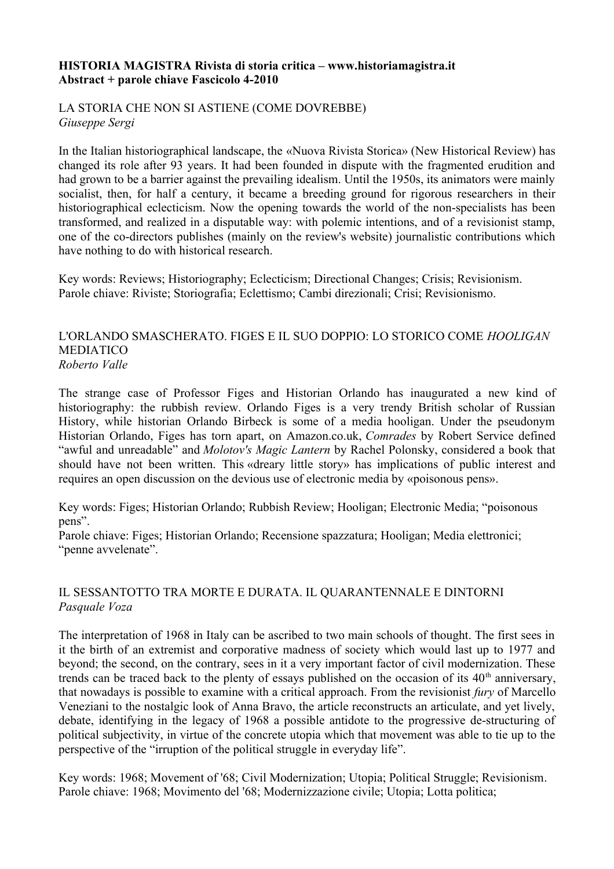#### **HISTORIA MAGISTRA Rivista di storia critica – www.historiamagistra.it Abstract + parole chiave Fascicolo 4-2010**

LA STORIA CHE NON SI ASTIENE (COME DOVREBBE) *Giuseppe Sergi*

In the Italian historiographical landscape, the «Nuova Rivista Storica» (New Historical Review) has changed its role after 93 years. It had been founded in dispute with the fragmented erudition and had grown to be a barrier against the prevailing idealism. Until the 1950s, its animators were mainly socialist, then, for half a century, it became a breeding ground for rigorous researchers in their historiographical eclecticism. Now the opening towards the world of the non-specialists has been transformed, and realized in a disputable way: with polemic intentions, and of a revisionist stamp, one of the co-directors publishes (mainly on the review's website) journalistic contributions which have nothing to do with historical research.

Key words: Reviews; Historiography; Eclecticism; Directional Changes; Crisis; Revisionism. Parole chiave: Riviste; Storiografia; Eclettismo; Cambi direzionali; Crisi; Revisionismo.

#### L'ORLANDO SMASCHERATO. FIGES E IL SUO DOPPIO: LO STORICO COME *HOOLIGAN*  MEDIATICO *Roberto Valle*

The strange case of Professor Figes and Historian Orlando has inaugurated a new kind of historiography: the rubbish review. Orlando Figes is a very trendy British scholar of Russian History, while historian Orlando Birbeck is some of a media hooligan. Under the pseudonym Historian Orlando, Figes has torn apart, on Amazon.co.uk, *Comrades* by Robert Service defined "awful and unreadable" and *Molotov's Magic Lantern* by Rachel Polonsky, considered a book that should have not been written. This «dreary little story» has implications of public interest and requires an open discussion on the devious use of electronic media by «poisonous pens».

Key words: Figes; Historian Orlando; Rubbish Review; Hooligan; Electronic Media; "poisonous pens".

Parole chiave: Figes; Historian Orlando; Recensione spazzatura; Hooligan; Media elettronici; "penne avvelenate".

# IL SESSANTOTTO TRA MORTE E DURATA. IL QUARANTENNALE E DINTORNI *Pasquale Voza*

The interpretation of 1968 in Italy can be ascribed to two main schools of thought. The first sees in it the birth of an extremist and corporative madness of society which would last up to 1977 and beyond; the second, on the contrary, sees in it a very important factor of civil modernization. These trends can be traced back to the plenty of essays published on the occasion of its  $40<sup>th</sup>$  anniversary, that nowadays is possible to examine with a critical approach. From the revisionist *fury* of Marcello Veneziani to the nostalgic look of Anna Bravo, the article reconstructs an articulate, and yet lively, debate, identifying in the legacy of 1968 a possible antidote to the progressive de-structuring of political subjectivity, in virtue of the concrete utopia which that movement was able to tie up to the perspective of the "irruption of the political struggle in everyday life".

Key words: 1968; Movement of '68; Civil Modernization; Utopia; Political Struggle; Revisionism. Parole chiave: 1968; Movimento del '68; Modernizzazione civile; Utopia; Lotta politica;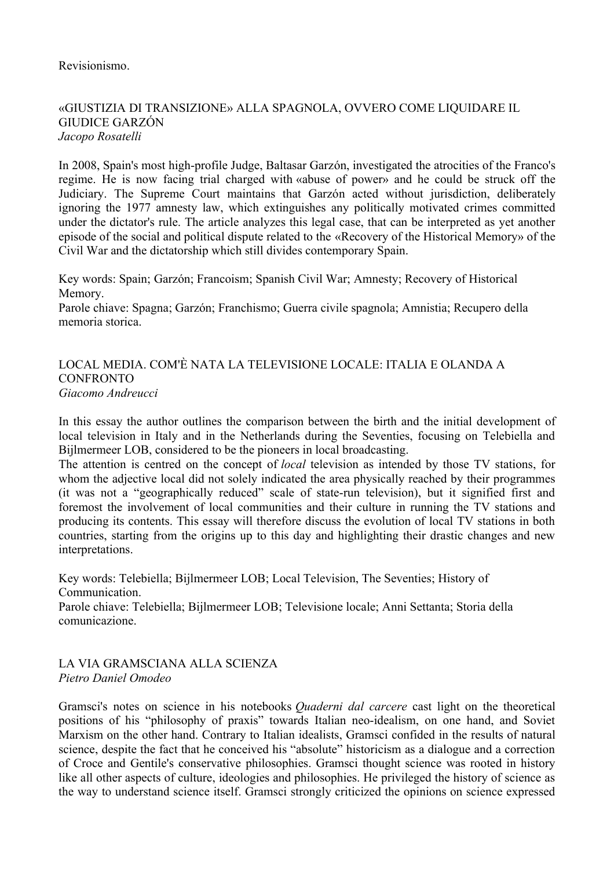### Revisionismo.

### «GIUSTIZIA DI TRANSIZIONE» ALLA SPAGNOLA, OVVERO COME LIQUIDARE IL GIUDICE GARZÓN *Jacopo Rosatelli*

In 2008, Spain's most high-profile Judge, Baltasar Garzón, investigated the atrocities of the Franco's regime. He is now facing trial charged with «abuse of power» and he could be struck off the Judiciary. The Supreme Court maintains that Garzón acted without jurisdiction, deliberately ignoring the 1977 amnesty law, which extinguishes any politically motivated crimes committed under the dictator's rule. The article analyzes this legal case, that can be interpreted as yet another episode of the social and political dispute related to the «Recovery of the Historical Memory» of the Civil War and the dictatorship which still divides contemporary Spain.

Key words: Spain; Garzón; Francoism; Spanish Civil War; Amnesty; Recovery of Historical Memory.

Parole chiave: Spagna; Garzón; Franchismo; Guerra civile spagnola; Amnistia; Recupero della memoria storica.

# LOCAL MEDIA. COM'È NATA LA TELEVISIONE LOCALE: ITALIA E OLANDA A CONFRONTO *Giacomo Andreucci*

In this essay the author outlines the comparison between the birth and the initial development of local television in Italy and in the Netherlands during the Seventies, focusing on Telebiella and Bijlmermeer LOB, considered to be the pioneers in local broadcasting.

The attention is centred on the concept of *local* television as intended by those TV stations, for whom the adjective local did not solely indicated the area physically reached by their programmes (it was not a "geographically reduced" scale of state-run television), but it signified first and foremost the involvement of local communities and their culture in running the TV stations and producing its contents. This essay will therefore discuss the evolution of local TV stations in both countries, starting from the origins up to this day and highlighting their drastic changes and new interpretations.

Key words: Telebiella; Bijlmermeer LOB; Local Television, The Seventies; History of Communication.

Parole chiave: Telebiella; Bijlmermeer LOB; Televisione locale; Anni Settanta; Storia della comunicazione.

### LA VIA GRAMSCIANA ALLA SCIENZA *Pietro Daniel Omodeo*

Gramsci's notes on science in his notebooks *Quaderni dal carcere* cast light on the theoretical positions of his "philosophy of praxis" towards Italian neo-idealism, on one hand, and Soviet Marxism on the other hand. Contrary to Italian idealists, Gramsci confided in the results of natural science, despite the fact that he conceived his "absolute" historicism as a dialogue and a correction of Croce and Gentile's conservative philosophies. Gramsci thought science was rooted in history like all other aspects of culture, ideologies and philosophies. He privileged the history of science as the way to understand science itself. Gramsci strongly criticized the opinions on science expressed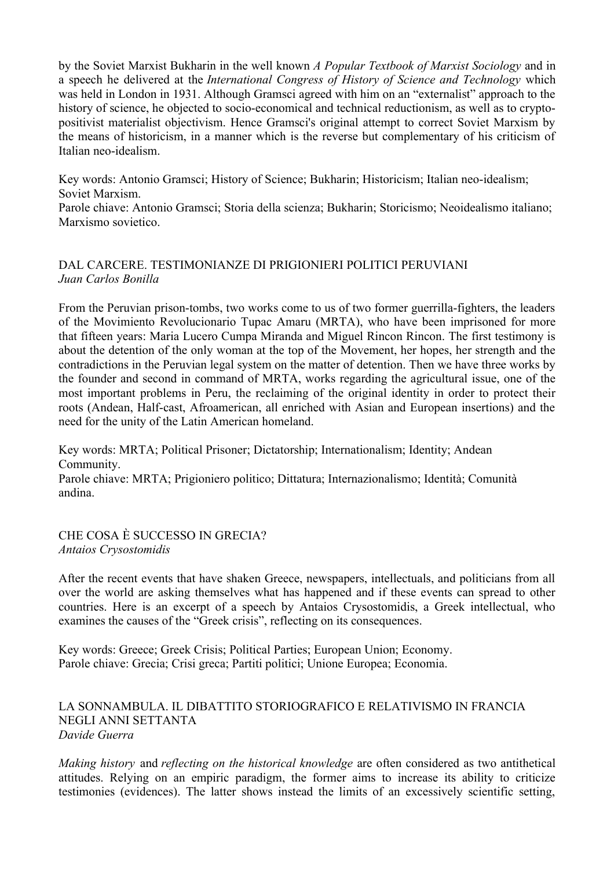by the Soviet Marxist Bukharin in the well known *A Popular Textbook of Marxist Sociology* and in a speech he delivered at the *International Congress of History of Science and Technology* which was held in London in 1931. Although Gramsci agreed with him on an "externalist" approach to the history of science, he objected to socio-economical and technical reductionism, as well as to cryptopositivist materialist objectivism. Hence Gramsci's original attempt to correct Soviet Marxism by the means of historicism, in a manner which is the reverse but complementary of his criticism of Italian neo-idealism.

Key words: Antonio Gramsci; History of Science; Bukharin; Historicism; Italian neo-idealism; Soviet Marxism.

Parole chiave: Antonio Gramsci; Storia della scienza; Bukharin; Storicismo; Neoidealismo italiano; Marxismo sovietico.

# DAL CARCERE. TESTIMONIANZE DI PRIGIONIERI POLITICI PERUVIANI *Juan Carlos Bonilla*

From the Peruvian prison-tombs, two works come to us of two former guerrilla-fighters, the leaders of the Movimiento Revolucionario Tupac Amaru (MRTA), who have been imprisoned for more that fifteen years: Maria Lucero Cumpa Miranda and Miguel Rincon Rincon. The first testimony is about the detention of the only woman at the top of the Movement, her hopes, her strength and the contradictions in the Peruvian legal system on the matter of detention. Then we have three works by the founder and second in command of MRTA, works regarding the agricultural issue, one of the most important problems in Peru, the reclaiming of the original identity in order to protect their roots (Andean, Half-cast, Afroamerican, all enriched with Asian and European insertions) and the need for the unity of the Latin American homeland.

Key words: MRTA; Political Prisoner; Dictatorship; Internationalism; Identity; Andean Community.

Parole chiave: MRTA; Prigioniero politico; Dittatura; Internazionalismo; Identità; Comunità andina.

CHE COSA È SUCCESSO IN GRECIA? *Antaios Crysostomidis*

After the recent events that have shaken Greece, newspapers, intellectuals, and politicians from all over the world are asking themselves what has happened and if these events can spread to other countries. Here is an excerpt of a speech by Antaios Crysostomidis, a Greek intellectual, who examines the causes of the "Greek crisis", reflecting on its consequences.

Key words: Greece; Greek Crisis; Political Parties; European Union; Economy. Parole chiave: Grecia; Crisi greca; Partiti politici; Unione Europea; Economia.

#### LA SONNAMBULA. IL DIBATTITO STORIOGRAFICO E RELATIVISMO IN FRANCIA NEGLI ANNI SETTANTA *Davide Guerra*

*Making history* and *reflecting on the historical knowledge* are often considered as two antithetical attitudes. Relying on an empiric paradigm, the former aims to increase its ability to criticize testimonies (evidences). The latter shows instead the limits of an excessively scientific setting,